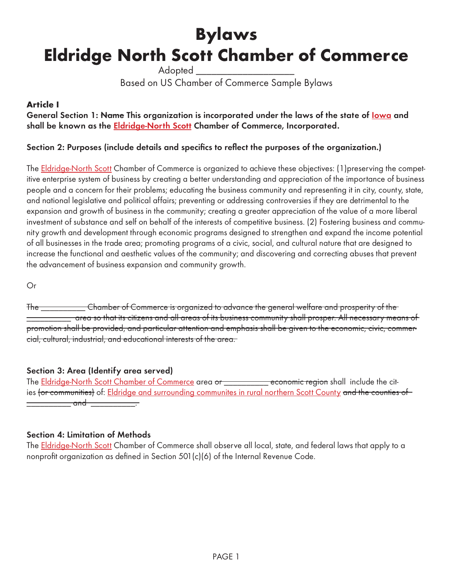# **Bylaws Eldridge North Scott Chamber of Commerce**

Adopted

# Based on US Chamber of Commerce Sample Bylaws

# **Article I**

General Section 1: Name This organization is incorporated under the laws of the state of <u>lowa</u> and **shall be known as the Eldridge-North Scott Chamber of Commerce, Incorporated.**

# **Section 2: Purposes (include details and specifics to reflect the purposes of the organization.)**

The Eldridge-North Scott Chamber of Commerce is organized to achieve these objectives: (1) preserving the competitive enterprise system of business by creating a better understanding and appreciation of the importance of business people and a concern for their problems; educating the business community and representing it in city, county, state, and national legislative and political affairs; preventing or addressing controversies if they are detrimental to the expansion and growth of business in the community; creating a greater appreciation of the value of a more liberal investment of substance and self on behalf of the interests of competitive business. (2) Fostering business and community growth and development through economic programs designed to strengthen and expand the income potential of all businesses in the trade area; promoting programs of a civic, social, and cultural nature that are designed to increase the functional and aesthetic values of the community; and discovering and correcting abuses that prevent the advancement of business expansion and community growth.

Or

The \_\_\_\_\_\_\_\_\_\_ Chamber of Commerce is organized to advance the general welfare and prosperity of the  $\equiv$  area so that its citizens and all areas of its business community shall prosper. All necessary means of promotion shall be provided, and particular attention and emphasis shall be given to the economic, civic, commercial, cultural, industrial, and educational interests of the area.

#### **Section 3: Area (Identify area served)**

The Eldridge-North Scott Chamber of Commerce area or \_\_\_\_\_\_\_\_\_\_ economic region shall include the cities <del>(or communities)</del> of: Eldridge and surrounding communites in rural northern Scott County and the counties of \_\_\_\_\_\_\_ and \_\_\_\_\_\_\_\_\_\_.

#### **Section 4: Limitation of Methods**

The Eldridge-North Scott Chamber of Commerce shall observe all local, state, and federal laws that apply to a nonprofit organization as defined in Section 501(c)(6) of the Internal Revenue Code.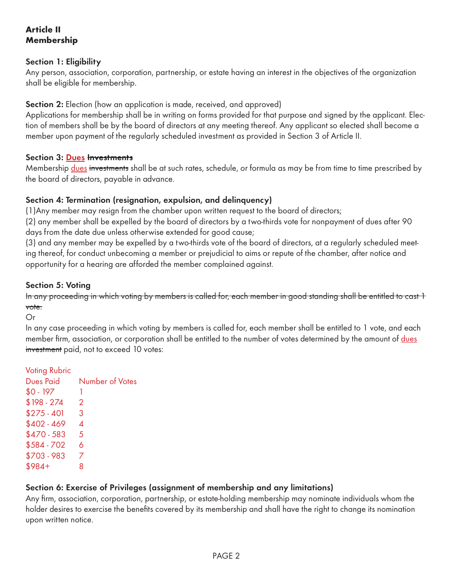# **Article II Membership**

# **Section 1: Eligibility**

Any person, association, corporation, partnership, or estate having an interest in the objectives of the organization shall be eligible for membership.

**Section 2:** Election (how an application is made, received, and approved)

Applications for membership shall be in writing on forms provided for that purpose and signed by the applicant. Election of members shall be by the board of directors at any meeting thereof. Any applicant so elected shall become a member upon payment of the regularly scheduled investment as provided in Section 3 of Article II.

#### **Section 3: Dues Investments**

Membership dues investments shall be at such rates, schedule, or formula as may be from time to time prescribed by the board of directors, payable in advance.

# **Section 4: Termination (resignation, expulsion, and delinquency)**

(1)Any member may resign from the chamber upon written request to the board of directors;

(2) any member shall be expelled by the board of directors by a two-thirds vote for nonpayment of dues after 90 days from the date due unless otherwise extended for good cause;

(3) and any member may be expelled by a two-thirds vote of the board of directors, at a regularly scheduled meeting thereof, for conduct unbecoming a member or prejudicial to aims or repute of the chamber, after notice and opportunity for a hearing are afforded the member complained against.

# **Section 5: Voting**

In any proceeding in which voting by members is called for, each member in good standing shall be entitled to cast 1 vote.

Or

In any case proceeding in which voting by members is called for, each member shall be entitled to 1 vote, and each member firm, association, or corporation shall be entitled to the number of votes determined by the amount of dues investment paid, not to exceed 10 votes:

Voting Rubric Dues Paid Number of Votes  $$0 - 197$  1  $$198 - 274$  2  $$275 - 401$  3  $$402 - 469$  4  $$470 - 583$  5  $$584 - 702$  6 \$703 - 983 7  $$984+$  8

# **Section 6: Exercise of Privileges (assignment of membership and any limitations)**

Any firm, association, corporation, partnership, or estate-holding membership may nominate individuals whom the holder desires to exercise the benefits covered by its membership and shall have the right to change its nomination upon written notice.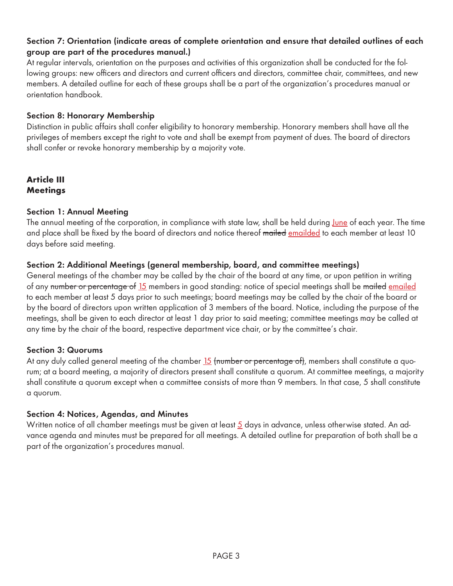# **Section 7: Orientation (indicate areas of complete orientation and ensure that detailed outlines of each group are part of the procedures manual.)**

At regular intervals, orientation on the purposes and activities of this organization shall be conducted for the following groups: new officers and directors and current officers and directors, committee chair, committees, and new members. A detailed outline for each of these groups shall be a part of the organization's procedures manual or orientation handbook.

### **Section 8: Honorary Membership**

Distinction in public affairs shall confer eligibility to honorary membership. Honorary members shall have all the privileges of members except the right to vote and shall be exempt from payment of dues. The board of directors shall confer or revoke honorary membership by a majority vote.

# **Article III Meetings**

# **Section 1: Annual Meeting**

The annual meeting of the corporation, in compliance with state law, shall be held during June of each year. The time and place shall be fixed by the board of directors and notice thereof mailed emailded to each member at least 10 days before said meeting.

# **Section 2: Additional Meetings (general membership, board, and committee meetings)**

General meetings of the chamber may be called by the chair of the board at any time, or upon petition in writing of any number or percentage of 15 members in good standing: notice of special meetings shall be mailed emailed to each member at least 5 days prior to such meetings; board meetings may be called by the chair of the board or by the board of directors upon written application of 3 members of the board. Notice, including the purpose of the meetings, shall be given to each director at least 1 day prior to said meeting; committee meetings may be called at any time by the chair of the board, respective department vice chair, or by the committee's chair.

#### **Section 3: Quorums**

At any duly called general meeting of the chamber 15 (number or percentage of), members shall constitute a quorum; at a board meeting, a majority of directors present shall constitute a quorum. At committee meetings, a majority shall constitute a quorum except when a committee consists of more than 9 members. In that case, 5 shall constitute a quorum.

#### **Section 4: Notices, Agendas, and Minutes**

Written notice of all chamber meetings must be given at least 5 days in advance, unless otherwise stated. An advance agenda and minutes must be prepared for all meetings. A detailed outline for preparation of both shall be a part of the organization's procedures manual.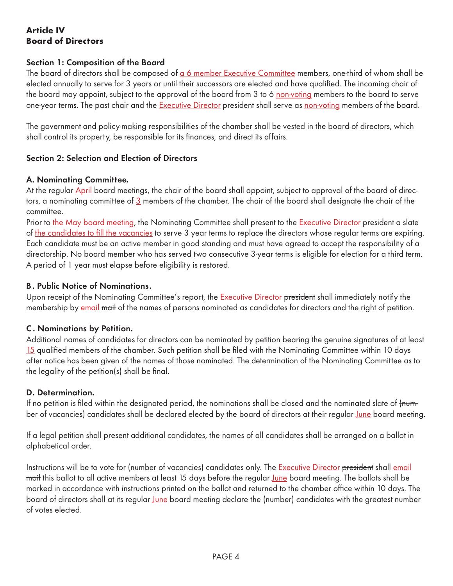# **Article IV Board of Directors**

#### **Section 1: Composition of the Board**

The board of directors shall be composed of a 6 member Executive Committee members, one-third of whom shall be elected annually to serve for 3 years or until their successors are elected and have qualified. The incoming chair of the board may appoint, subject to the approval of the board from 3 to 6 non-voting members to the board to serve one-year terms. The past chair and the Executive Director president shall serve as non-voting members of the board.

The government and policy-making responsibilities of the chamber shall be vested in the board of directors, which shall control its property, be responsible for its finances, and direct its affairs.

#### **Section 2: Selection and Election of Directors**

#### **A. Nominating Committee.**

At the regular April board meetings, the chair of the board shall appoint, subject to approval of the board of directors, a nominating committee of 3 members of the chamber. The chair of the board shall designate the chair of the committee.

Prior to the May board meeting, the Nominating Committee shall present to the Executive Director president a slate of the candidates to fill the vacancies to serve 3 year terms to replace the directors whose regular terms are expiring. Each candidate must be an active member in good standing and must have agreed to accept the responsibility of a directorship. No board member who has served two consecutive 3-year terms is eligible for election for a third term. A period of 1 year must elapse before eligibility is restored.

#### **B. Public Notice of Nominations.**

Upon receipt of the Nominating Committee's report, the Executive Director president shall immediately notify the membership by email mail of the names of persons nominated as candidates for directors and the right of petition.

#### **C . Nominations by Petition.**

Additional names of candidates for directors can be nominated by petition bearing the genuine signatures of at least 15 qualified members of the chamber. Such petition shall be filed with the Nominating Committee within 10 days after notice has been given of the names of those nominated. The determination of the Nominating Committee as to the legality of the petition(s) shall be final.

#### **D. Determination.**

If no petition is filed within the designated period, the nominations shall be closed and the nominated slate of  $f$ number of vacancies) candidates shall be declared elected by the board of directors at their regular June board meeting.

If a legal petition shall present additional candidates, the names of all candidates shall be arranged on a ballot in alphabetical order.

Instructions will be to vote for (number of vacancies) candidates only. The **Executive Director president** shall email mail this ballot to all active members at least 15 days before the regular June board meeting. The ballots shall be marked in accordance with instructions printed on the ballot and returned to the chamber office within 10 days. The board of directors shall at its regular June board meeting declare the (number) candidates with the greatest number of votes elected.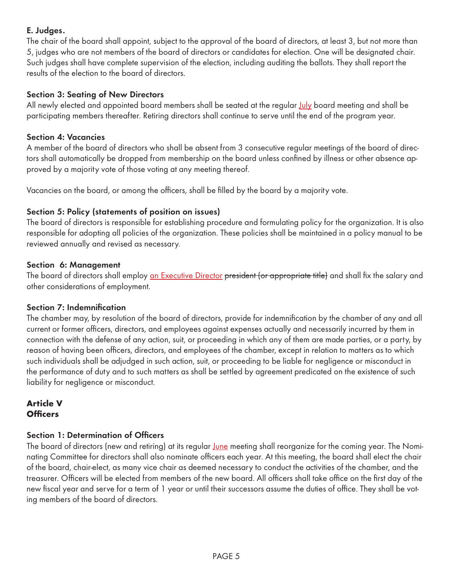# **E. Judges.**

The chair of the board shall appoint, subject to the approval of the board of directors, at least 3, but not more than 5, judges who are not members of the board of directors or candidates for election. One will be designated chair. Such judges shall have complete supervision of the election, including auditing the ballots. They shall report the results of the election to the board of directors.

# **Section 3: Seating of New Directors**

All newly elected and appointed board members shall be seated at the regular July board meeting and shall be participating members thereafter. Retiring directors shall continue to serve until the end of the program year.

# **Section 4: Vacancies**

A member of the board of directors who shall be absent from 3 consecutive regular meetings of the board of directors shall automatically be dropped from membership on the board unless confined by illness or other absence approved by a majority vote of those voting at any meeting thereof.

Vacancies on the board, or among the officers, shall be filled by the board by a majority vote.

# **Section 5: Policy (statements of position on issues)**

The board of directors is responsible for establishing procedure and formulating policy for the organization. It is also responsible for adopting all policies of the organization. These policies shall be maintained in a policy manual to be reviewed annually and revised as necessary.

#### **Section 6: Management**

The board of directors shall employ an Executive Director president (or appropriate title) and shall fix the salary and other considerations of employment.

# **Section 7: Indemnification**

The chamber may, by resolution of the board of directors, provide for indemnification by the chamber of any and all current or former officers, directors, and employees against expenses actually and necessarily incurred by them in connection with the defense of any action, suit, or proceeding in which any of them are made parties, or a party, by reason of having been officers, directors, and employees of the chamber, except in relation to matters as to which such individuals shall be adjudged in such action, suit, or proceeding to be liable for negligence or misconduct in the performance of duty and to such matters as shall be settled by agreement predicated on the existence of such liability for negligence or misconduct.

# **Article V Officers**

# **Section 1: Determination of Officers**

The board of directors (new and retiring) at its regular *June* meeting shall reorganize for the coming year. The Nominating Committee for directors shall also nominate officers each year. At this meeting, the board shall elect the chair of the board, chair-elect, as many vice chair as deemed necessary to conduct the activities of the chamber, and the treasurer. Officers will be elected from members of the new board. All officers shall take office on the first day of the new fiscal year and serve for a term of 1 year or until their successors assume the duties of office. They shall be voting members of the board of directors.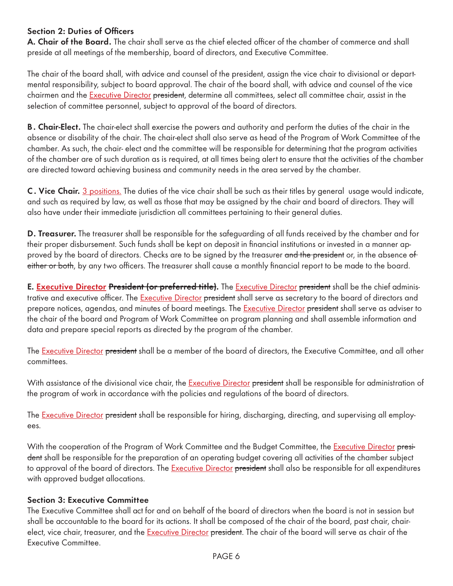# **Section 2: Duties of Officers**

**A. Chair of the Board.** The chair shall serve as the chief elected officer of the chamber of commerce and shall preside at all meetings of the membership, board of directors, and Executive Committee.

The chair of the board shall, with advice and counsel of the president, assign the vice chair to divisional or departmental responsibility, subject to board approval. The chair of the board shall, with advice and counsel of the vice chairmen and the Executive Director president, determine all committees, select all committee chair, assist in the selection of committee personnel, subject to approval of the board of directors.

**B. Chair-Elect.** The chair-elect shall exercise the powers and authority and perform the duties of the chair in the absence or disability of the chair. The chair-elect shall also serve as head of the Program of Work Committee of the chamber. As such, the chair- elect and the committee will be responsible for determining that the program activities of the chamber are of such duration as is required, at all times being alert to ensure that the activities of the chamber are directed toward achieving business and community needs in the area served by the chamber.

**C . Vice Chair.** 3 positions. The duties of the vice chair shall be such as their titles by general usage would indicate, and such as required by law, as well as those that may be assigned by the chair and board of directors. They will also have under their immediate jurisdiction all committees pertaining to their general duties.

**D. Treasurer.** The treasurer shall be responsible for the safeguarding of all funds received by the chamber and for their proper disbursement. Such funds shall be kept on deposit in financial institutions or invested in a manner approved by the board of directors. Checks are to be signed by the treasurer and the president or, in the absence of either or both, by any two officers. The treasurer shall cause a monthly financial report to be made to the board.

**E. Executive Director President (or preferred title).** The Executive Director president shall be the chief administrative and executive officer. The Executive Director president shall serve as secretary to the board of directors and prepare notices, agendas, and minutes of board meetings. The Executive Director president shall serve as adviser to the chair of the board and Program of Work Committee on program planning and shall assemble information and data and prepare special reports as directed by the program of the chamber.

The Executive Director president shall be a member of the board of directors, the Executive Committee, and all other committees.

With assistance of the divisional vice chair, the Executive Director <del>president</del> shall be responsible for administration of the program of work in accordance with the policies and regulations of the board of directors.

The Executive Director president shall be responsible for hiring, discharging, directing, and supervising all employees.

With the cooperation of the Program of Work Committee and the Budget Committee, the Executive Director president shall be responsible for the preparation of an operating budget covering all activities of the chamber subject to approval of the board of directors. The Executive Director president shall also be responsible for all expenditures with approved budget allocations.

#### **Section 3: Executive Committee**

The Executive Committee shall act for and on behalf of the board of directors when the board is not in session but shall be accountable to the board for its actions. It shall be composed of the chair of the board, past chair, chairelect, vice chair, treasurer, and the Executive Director president. The chair of the board will serve as chair of the Executive Committee.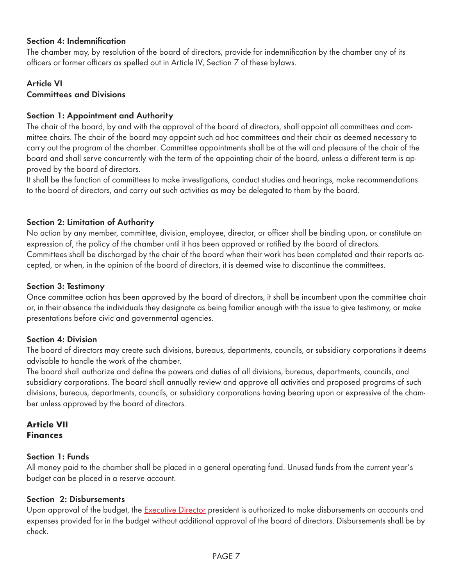### **Section 4: Indemnification**

The chamber may, by resolution of the board of directors, provide for indemnification by the chamber any of its officers or former officers as spelled out in Article IV, Section 7 of these bylaws.

#### **Article VI Committees and Divisions**

# **Section 1: Appointment and Authority**

The chair of the board, by and with the approval of the board of directors, shall appoint all committees and committee chairs. The chair of the board may appoint such ad hoc committees and their chair as deemed necessary to carry out the program of the chamber. Committee appointments shall be at the will and pleasure of the chair of the board and shall serve concurrently with the term of the appointing chair of the board, unless a different term is approved by the board of directors.

It shall be the function of committees to make investigations, conduct studies and hearings, make recommendations to the board of directors, and carry out such activities as may be delegated to them by the board.

# **Section 2: Limitation of Authority**

No action by any member, committee, division, employee, director, or officer shall be binding upon, or constitute an expression of, the policy of the chamber until it has been approved or ratified by the board of directors. Committees shall be discharged by the chair of the board when their work has been completed and their reports accepted, or when, in the opinion of the board of directors, it is deemed wise to discontinue the committees.

#### **Section 3: Testimony**

Once committee action has been approved by the board of directors, it shall be incumbent upon the committee chair or, in their absence the individuals they designate as being familiar enough with the issue to give testimony, or make presentations before civic and governmental agencies.

#### **Section 4: Division**

The board of directors may create such divisions, bureaus, departments, councils, or subsidiary corporations it deems advisable to handle the work of the chamber.

The board shall authorize and define the powers and duties of all divisions, bureaus, departments, councils, and subsidiary corporations. The board shall annually review and approve all activities and proposed programs of such divisions, bureaus, departments, councils, or subsidiary corporations having bearing upon or expressive of the chamber unless approved by the board of directors.

#### **Article VII Finances**

#### **Section 1: Funds**

All money paid to the chamber shall be placed in a general operating fund. Unused funds from the current year's budget can be placed in a reserve account.

# **Section 2: Disbursements**

Upon approval of the budget, the Executive Director president is authorized to make disbursements on accounts and expenses provided for in the budget without additional approval of the board of directors. Disbursements shall be by check.